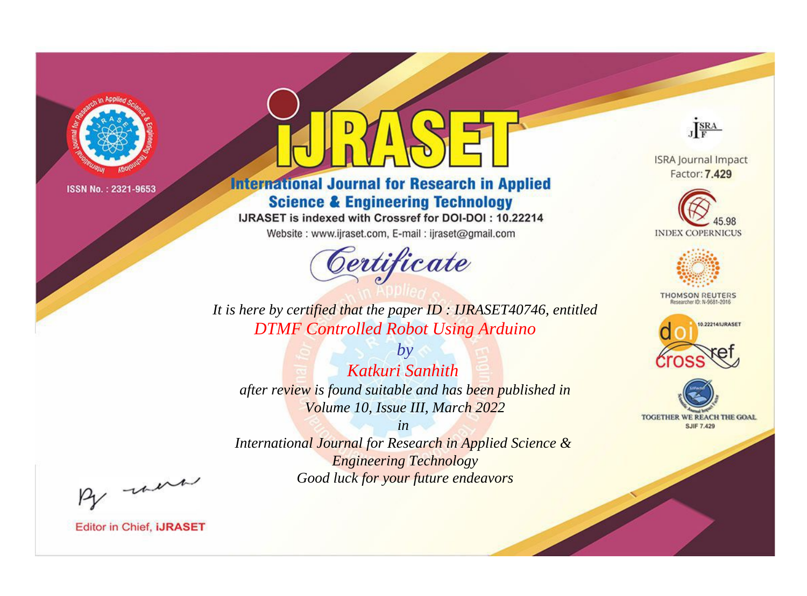

# **International Journal for Research in Applied Science & Engineering Technology**

IJRASET is indexed with Crossref for DOI-DOI: 10.22214

Website: www.ijraset.com, E-mail: ijraset@gmail.com



JERA

**ISRA Journal Impact** Factor: 7.429





**THOMSON REUTERS** 



TOGETHER WE REACH THE GOAL **SJIF 7.429** 

*It is here by certified that the paper ID : IJRASET40746, entitled DTMF Controlled Robot Using Arduino*

*Katkuri Sanhith after review is found suitable and has been published in Volume 10, Issue III, March 2022*

*by*

*in* 

*International Journal for Research in Applied Science & Engineering Technology Good luck for your future endeavors*

By morn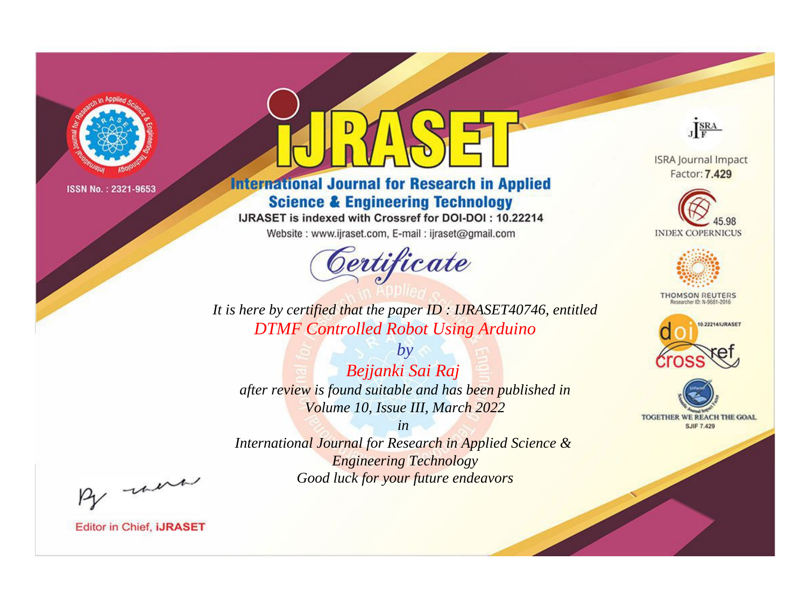

# **International Journal for Research in Applied Science & Engineering Technology**

IJRASET is indexed with Crossref for DOI-DOI: 10.22214

Website: www.ijraset.com, E-mail: ijraset@gmail.com



JERA

**ISRA Journal Impact** Factor: 7.429





**THOMSON REUTERS** 



TOGETHER WE REACH THE GOAL **SJIF 7.429** 

It is here by certified that the paper ID: IJRASET40746, entitled **DTMF Controlled Robot Using Arduino** 

 $by$ Bejjanki Sai Raj after review is found suitable and has been published in Volume 10, Issue III, March 2022

 $in$ International Journal for Research in Applied Science & **Engineering Technology** Good luck for your future endeavors

By morn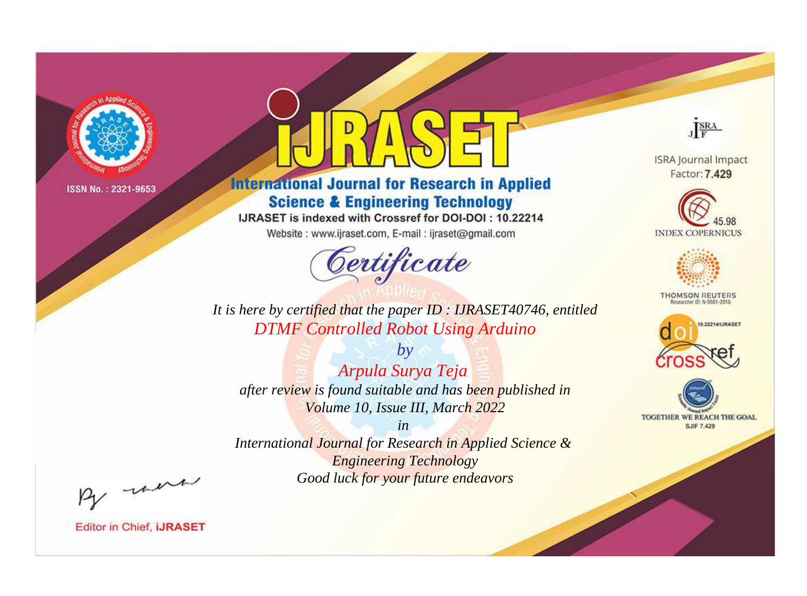

# **International Journal for Research in Applied Science & Engineering Technology**

IJRASET is indexed with Crossref for DOI-DOI: 10.22214

Website: www.ijraset.com, E-mail: ijraset@gmail.com



JERA

**ISRA Journal Impact** Factor: 7.429





**THOMSON REUTERS** 



TOGETHER WE REACH THE GOAL **SJIF 7.429** 

It is here by certified that the paper ID: IJRASET40746, entitled **DTMF Controlled Robot Using Arduino** 

 $b\mathbf{v}$ Arpula Surya Teja after review is found suitable and has been published in Volume 10, Issue III, March 2022

 $in$ International Journal for Research in Applied Science & **Engineering Technology** Good luck for your future endeavors

By morn